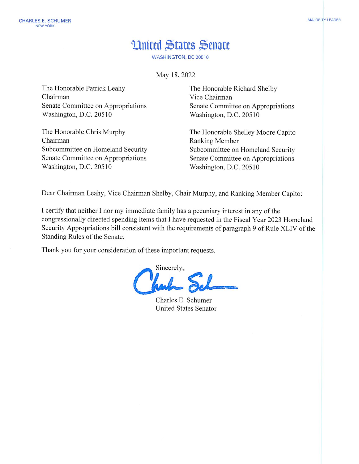## **Hnited States Senate**

**WASHINGTON, DC 20510** 

May 18, 2022

The Honorable Patrick Leahy Chairman Senate Committee on Appropriations Washington, D.C. 20510

The Honorable Chris Murphy Chairman Subcommittee on Homeland Security Senate Committee on Appropriations Washington, D.C. 20510

The Honorable Richard Shelby Vice Chairman Senate Committee on Appropriations Washington, D.C. 20510

The Honorable Shelley Moore Capito Ranking Member Subcommittee on Homeland Security Senate Committee on Appropriations Washington, D.C. 20510

Dear Chairman Leahy, Vice Chairman Shelby, Chair Murphy, and Ranking Member Capito:

I certify that neither I nor my immediate family has a pecuniary interest in any of the congressionally directed spending items that I have requested in the Fiscal Year 2023 Homeland Security Appropriations bill consistent with the requirements of paragraph 9 of Rule XLIV of the Standing Rules of the Senate.

Thank you for your consideration of these important requests.

Sincerely,

Charles E. Schumer **United States Senator**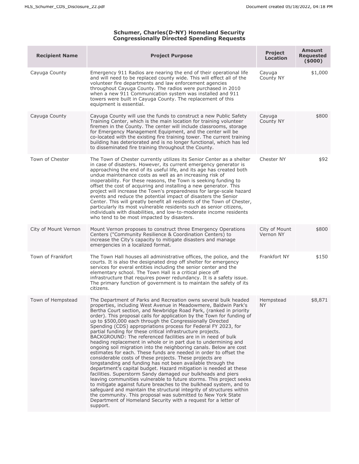## **Schumer, Charles(D-NY) Homeland Security Congressionally Directed Spending Requests**

| <b>Recipient Name</b> | <b>Project Purpose</b>                                                                                                                                                                                                                                                                                                                                                                                                                                                                                                                                                                                                                                                                                                                                                                                                                                                                                                                                                                                                                                                                                                                                                                                                                                                                                                                                                                           | <b>Project</b><br><b>Location</b> | <b>Amount</b><br><b>Requested</b><br>(5000) |
|-----------------------|--------------------------------------------------------------------------------------------------------------------------------------------------------------------------------------------------------------------------------------------------------------------------------------------------------------------------------------------------------------------------------------------------------------------------------------------------------------------------------------------------------------------------------------------------------------------------------------------------------------------------------------------------------------------------------------------------------------------------------------------------------------------------------------------------------------------------------------------------------------------------------------------------------------------------------------------------------------------------------------------------------------------------------------------------------------------------------------------------------------------------------------------------------------------------------------------------------------------------------------------------------------------------------------------------------------------------------------------------------------------------------------------------|-----------------------------------|---------------------------------------------|
| Cayuga County         | Emergency 911 Radios are nearing the end of their operational life<br>and will need to be replaced county wide. This will effect all of the<br>volunteer fire departments and law enforcement agencies<br>throughout Cayuga County. The radios were purchased in 2010<br>when a new 911 Communication system was installed and 911<br>towers were built in Cayuga County. The replacement of this<br>equipment is essential.                                                                                                                                                                                                                                                                                                                                                                                                                                                                                                                                                                                                                                                                                                                                                                                                                                                                                                                                                                     | Cayuga<br>County NY               | \$1,000                                     |
| Cayuga County         | Cayuga County will use the funds to construct a new Public Safety<br>Training Center, which is the main location for training volunteer<br>firemen in the County. The center will include classrooms, storage<br>for Emergency Management Equipment, and the center will be<br>co-located with the existing fire training tower. The current training<br>building has deteriorated and is no longer functional, which has led<br>to disseminated fire training throughout the County.                                                                                                                                                                                                                                                                                                                                                                                                                                                                                                                                                                                                                                                                                                                                                                                                                                                                                                            | Cayuga<br>County NY               | \$800                                       |
| Town of Chester       | The Town of Chester currently utilizes its Senior Center as a shelter<br>in case of disasters. However, its current emergency generator is<br>approaching the end of its useful life, and its age has created both<br>undue maintenance costs as well as an increasing risk of<br>inoperability. For these reasons, the Town is seeking funding to<br>offset the cost of acquiring and installing a new generator. This<br>project will increase the Town's preparedness for large-scale hazard<br>events and reduce the potential impact of disasters the Senior<br>Center. This will greatly benefit all residents of the Town of Chester,<br>particularly its most vulnerable residents such as senior citizens,<br>individuals with disabilities, and low-to-moderate income residents<br>who tend to be most impacted by disasters.                                                                                                                                                                                                                                                                                                                                                                                                                                                                                                                                                         | Chester NY                        | \$92                                        |
| City of Mount Vernon  | Mount Vernon proposes to construct three Emergency Operations<br>Centers ("Community Resilience & Coordination Centers) to<br>increase the City's capacity to mitigate disasters and manage<br>emergencies in a localized format.                                                                                                                                                                                                                                                                                                                                                                                                                                                                                                                                                                                                                                                                                                                                                                                                                                                                                                                                                                                                                                                                                                                                                                | City of Mount<br>Vernon NY        | \$800                                       |
| Town of Frankfort     | The Town Hall houses all administrative offices, the police, and the<br>courts. It is also the designated drop off shelter for emergency<br>services for everal entities including the senior center and the<br>elementary school. The Town Hall is a critical piece off<br>infrastructure that requires power redundancy. It is a safety issue.<br>The primary function of government is to maintain the safety of its<br>citizens.                                                                                                                                                                                                                                                                                                                                                                                                                                                                                                                                                                                                                                                                                                                                                                                                                                                                                                                                                             | Frankfort NY                      | \$150                                       |
| Town of Hempstead     | The Department of Parks and Recreation owns several bulk headed<br>properties, including West Avenue in Meadowmere, Baldwin Park's<br>Bertha Court section, and Newbridge Road Park, (ranked in priority<br>order). This proposal calls for application by the Town for funding of<br>up to \$500,000 each through the Congressionally Directed<br>Spending (CDS) appropriations process for Federal FY 2023, for<br>partial funding for these critical infrastructure projects.<br>BACKGROUND: The referenced facilities are in in need of bulk<br>heading replacement in whole or in part due to undermining and<br>ongoing soil migration into the neighboring canals. Below are cost<br>estimates for each. These funds are needed in order to offset the<br>considerable costs of these projects. These projects are<br>longstanding and funding has not been available through the<br>department's capital budget. Hazard mitigation is needed at these<br>facilities. Superstorm Sandy damaged our bulkheads and piers<br>leaving communities vulnerable to future storms. This project seeks<br>to mitigate against future breaches to the bulkhead system, and to<br>safeguard and maintain the structural integrity of structures within<br>the community. This proposal was submitted to New York State<br>Department of Homeland Security with a request for a letter of<br>support. | Hempstead<br><b>NY</b>            | \$8,871                                     |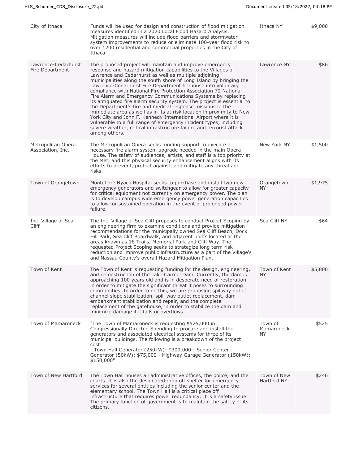| City of Ithaca                          | Funds will be used for design and construction of flood mitigation<br>measures identified in a 2020 Local Flood Hazard Analysis.<br>Mitigation measures will include flood barriers and stormwater<br>system improvements to reduce or eliminate 100-year flood risk to<br>over 1200 residential and commercial properties in the City of<br>Ithaca.                                                                                                                                                                                                                                                                                                                                                                                                                                                                                                                                                             | Ithaca NY                    | \$9,000 |
|-----------------------------------------|------------------------------------------------------------------------------------------------------------------------------------------------------------------------------------------------------------------------------------------------------------------------------------------------------------------------------------------------------------------------------------------------------------------------------------------------------------------------------------------------------------------------------------------------------------------------------------------------------------------------------------------------------------------------------------------------------------------------------------------------------------------------------------------------------------------------------------------------------------------------------------------------------------------|------------------------------|---------|
| Lawrence-Cedarhurst<br>Fire Department  | The proposed project will maintain and improve emergency<br>response and hazard mitigation capabilities to the Villages of<br>Lawrence and Cedarhurst as well as multiple adjoining<br>municipalities along the south shore of Long Island by bringing the<br>Lawrence-Cedarhurst Fire Department firehouse into voluntary<br>compliance with National Fire Protection Association 72 National<br>Fire Alarm and Emergency Communications Systems by replacing<br>its antiquated fire alarm security system. The project is essential to<br>the Department's fire and medical response missions in the<br>immediate area as well as in its at risk location in proximity to New<br>York City and John F. Kennedy International Airport where it is<br>vulnerable to a full range of emergency incident types, including<br>severe weather, critical infrastructure failure and terrorist attack<br>among others. | Lawrence NY                  | \$86    |
| Metropolitan Opera<br>Association, Inc. | The Metropolitan Opera seeks funding support to execute a<br>necessary fire alarm system upgrade needed in the main Opera<br>House. The safety of audiences, artists, and staff is a top priority at<br>the Met, and this physical security enhancement aligns with its<br>efforts to prevent, protect against, and mitigate any threats or<br>risks.                                                                                                                                                                                                                                                                                                                                                                                                                                                                                                                                                            | New York NY                  | \$1,500 |
| Town of Orangetown                      | Montefiore Nyack Hospital seeks to purchase and install two new<br>emergency generators and switchgear to allow for greater capacity<br>for critical equipment not currently on emergency power. The plan<br>is to develop campus wide emergency power generation capacities<br>to allow for sustained operation in the event of prolonged power<br>failure.                                                                                                                                                                                                                                                                                                                                                                                                                                                                                                                                                     | Orangetown<br>NY.            | \$1,975 |
| Inc. Village of Sea<br>Cliff            | The Inc. Village of Sea Cliff proposes to conduct Project Scoping by<br>an engineering firm to examine conditions and provide mitigation<br>recommendations for the municipally owned Sea Cliff Beach, Dock<br>Hill Park, Sea Cliff Boardwalk, and adjacent bluffs located at the<br>areas known as 18 Trails, Memorial Park and Cliff Way. The<br>requested Project Scoping seeks to strategize long term risk<br>reduction and improve public infrastructure as a part of the Village's<br>and Nassau County's overall Hazard Mitigation Plan.                                                                                                                                                                                                                                                                                                                                                                 | Sea Cliff NY                 | \$64    |
| Town of Kent                            | The Town of Kent is requesting funding for the design, engineering,<br>and reconstruction of the Lake Carmel Dam. Currently, the dam is<br>approaching 100 years old and is in desperate need of restoration<br>in order to mitigate the significant threat it poses to surrounding<br>communities. In order to do this, we are proposing spillway outlet<br>channel slope stabilization, spill way outlet replacement, dam<br>embankment stabilization and repair, and the complete<br>replacement of the gatehouse, in order to stabilize the dam and<br>minimize damage if it fails or overflows.                                                                                                                                                                                                                                                                                                             | Town of Kent<br><b>NY</b>    | \$5,800 |
| Town of Mamaroneck                      | "The Town of Mamaroneck is requesting \$525,000 in<br>Congressionally Directed Spending to procure and install the<br>generators and associated electrical systems for three of its<br>municipal buildings. The following is a breakdown of the project<br>cost:<br>- Town Hall Generator (250kW): \$300,000 - Senior Center<br>Generator (50kW): \$75,000 - Highway Garage Generator (150kW):<br>\$150,000"                                                                                                                                                                                                                                                                                                                                                                                                                                                                                                     | Town of<br>Mamaroneck<br>NY. | \$525   |
| Town of New Hartford                    | The Town Hall houses all administrative offices, the police, and the<br>courts. It is also the designated drop off shelter for emergency<br>services for several entities including the senior center and the<br>elementary school. The Town Hall is a critical piece off<br>infrastructure that requires power redundancy. It is a safety issue.<br>The primary function of government is to maintain the safety of its<br>citizens.                                                                                                                                                                                                                                                                                                                                                                                                                                                                            | Town of New<br>Hartford NY   | \$246   |